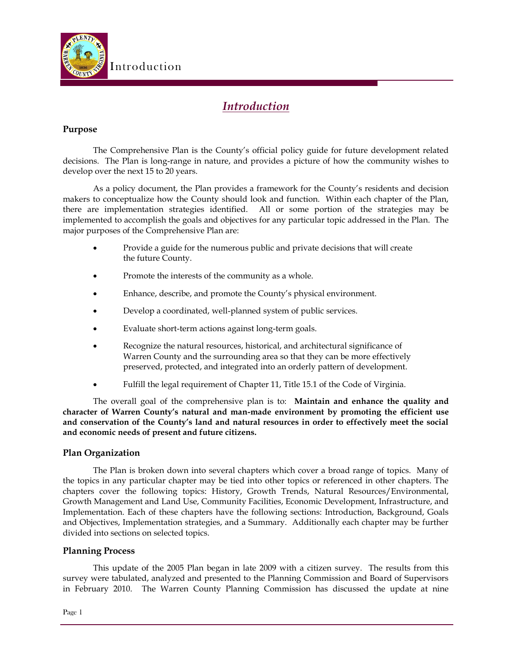

# *Introduction*

## **Purpose**

The Comprehensive Plan is the County's official policy guide for future development related decisions. The Plan is long-range in nature, and provides a picture of how the community wishes to develop over the next 15 to 20 years.

As a policy document, the Plan provides a framework for the County's residents and decision makers to conceptualize how the County should look and function. Within each chapter of the Plan, there are implementation strategies identified. All or some portion of the strategies may be implemented to accomplish the goals and objectives for any particular topic addressed in the Plan. The major purposes of the Comprehensive Plan are:

- Provide a guide for the numerous public and private decisions that will create the future County.
- Promote the interests of the community as a whole.
- Enhance, describe, and promote the County's physical environment.
- Develop a coordinated, well-planned system of public services.
- Evaluate short-term actions against long-term goals.
- Recognize the natural resources, historical, and architectural significance of Warren County and the surrounding area so that they can be more effectively preserved, protected, and integrated into an orderly pattern of development.
- Fulfill the legal requirement of Chapter 11, Title 15.1 of the Code of Virginia.

The overall goal of the comprehensive plan is to: **Maintain and enhance the quality and character of Warren County's natural and man-made environment by promoting the efficient use and conservation of the County's land and natural resources in order to effectively meet the social and economic needs of present and future citizens.**

### **Plan Organization**

The Plan is broken down into several chapters which cover a broad range of topics. Many of the topics in any particular chapter may be tied into other topics or referenced in other chapters. The chapters cover the following topics: History, Growth Trends, Natural Resources/Environmental, Growth Management and Land Use, Community Facilities, Economic Development, Infrastructure, and Implementation. Each of these chapters have the following sections: Introduction, Background, Goals and Objectives, Implementation strategies, and a Summary. Additionally each chapter may be further divided into sections on selected topics.

#### **Planning Process**

This update of the 2005 Plan began in late 2009 with a citizen survey. The results from this survey were tabulated, analyzed and presented to the Planning Commission and Board of Supervisors in February 2010. The Warren County Planning Commission has discussed the update at nine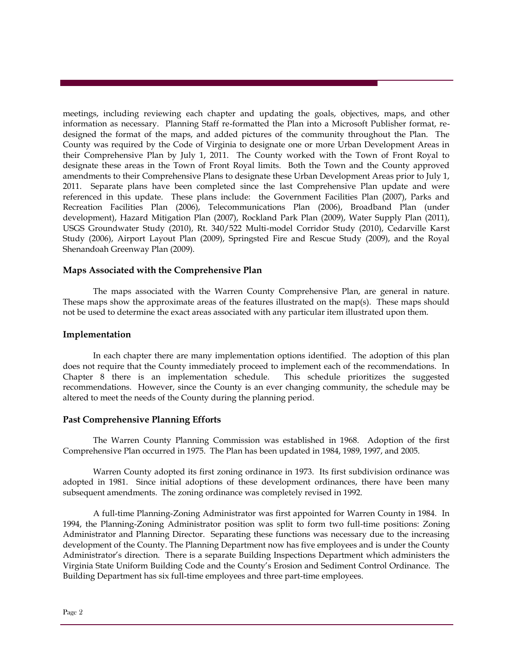meetings, including reviewing each chapter and updating the goals, objectives, maps, and other information as necessary. Planning Staff re-formatted the Plan into a Microsoft Publisher format, redesigned the format of the maps, and added pictures of the community throughout the Plan. The County was required by the Code of Virginia to designate one or more Urban Development Areas in their Comprehensive Plan by July 1, 2011. The County worked with the Town of Front Royal to designate these areas in the Town of Front Royal limits. Both the Town and the County approved amendments to their Comprehensive Plans to designate these Urban Development Areas prior to July 1, 2011. Separate plans have been completed since the last Comprehensive Plan update and were referenced in this update. These plans include: the Government Facilities Plan (2007), Parks and Recreation Facilities Plan (2006), Telecommunications Plan (2006), Broadband Plan (under development), Hazard Mitigation Plan (2007), Rockland Park Plan (2009), Water Supply Plan (2011), USGS Groundwater Study (2010), Rt. 340/522 Multi-model Corridor Study (2010), Cedarville Karst Study (2006), Airport Layout Plan (2009), Springsted Fire and Rescue Study (2009), and the Royal Shenandoah Greenway Plan (2009).

#### **Maps Associated with the Comprehensive Plan**

The maps associated with the Warren County Comprehensive Plan, are general in nature. These maps show the approximate areas of the features illustrated on the map(s). These maps should not be used to determine the exact areas associated with any particular item illustrated upon them.

#### **Implementation**

In each chapter there are many implementation options identified. The adoption of this plan does not require that the County immediately proceed to implement each of the recommendations. In Chapter 8 there is an implementation schedule. This schedule prioritizes the suggested recommendations. However, since the County is an ever changing community, the schedule may be altered to meet the needs of the County during the planning period.

#### **Past Comprehensive Planning Efforts**

The Warren County Planning Commission was established in 1968. Adoption of the first Comprehensive Plan occurred in 1975. The Plan has been updated in 1984, 1989, 1997, and 2005.

Warren County adopted its first zoning ordinance in 1973. Its first subdivision ordinance was adopted in 1981. Since initial adoptions of these development ordinances, there have been many subsequent amendments. The zoning ordinance was completely revised in 1992.

A full-time Planning-Zoning Administrator was first appointed for Warren County in 1984. In 1994, the Planning-Zoning Administrator position was split to form two full-time positions: Zoning Administrator and Planning Director. Separating these functions was necessary due to the increasing development of the County. The Planning Department now has five employees and is under the County Administrator's direction. There is a separate Building Inspections Department which administers the Virginia State Uniform Building Code and the County's Erosion and Sediment Control Ordinance. The Building Department has six full-time employees and three part-time employees.